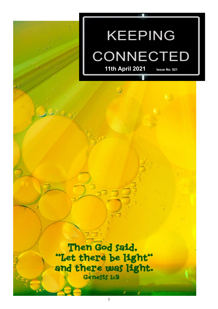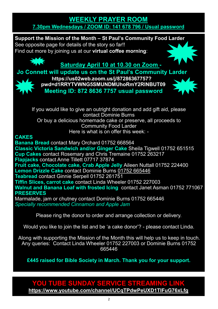#### **[WEEKLY PRAYER ROOM](https://us04web.zoom.us/j/141678796?pwd=VERURTVtcWQzbkZvdXFRMnJpKzg3dz09) [7.30pm Wednesdays / ZOOM ID: 141 678 796 / Usual password](https://us04web.zoom.us/j/141678796?pwd=VERURTVtcWQzbkZvdXFRMnJpKzg3dz09)**

**Support the Mission of the Month – St Paul's Community Food Larder**  See opposite page for details of the story so far!! Find out more by joining us at our **virtual coffee morning**:

# **Saturday April 10 at 10.30 on Zoom -**

**Jo Connett will update us on the St Paul's Community Larder** 



**[https://us02web.zoom.us/j/87286367757?](https://us02web.zoom.us/j/87286367757?pwd=d1RRYTVWNG5SMUNDMUhoRmY2RlNBUT09) [pwd=d1RRYTVWNG5SMUNDMUhoRmY2RlNBUT09](https://us02web.zoom.us/j/87286367757?pwd=d1RRYTVWNG5SMUNDMUhoRmY2RlNBUT09) Meeting ID: 872 8636 7757 usual password**



If you would like to give an outright donation and add gift aid, please contact Dominie Burns Or buy a delicious homemade cake or preserve, all proceeds to Community Food Larder Here is what is on offer this week: -

#### **CAKES**

**Banana Bread** contact Mary Orchard 01752 668564 **Classic Victoria Sandwich and/or Ginger Cake** Sheila Tigwell 01752 651515 **Cup Cakes** contact Rosemary and Chris Tremaine 01752 263217 **Flapjacks** contact Anne Tillett 07717 37874 **Fruit cake, Chocolate cake, Crab Apple Jelly** Aileen Nuttall 01752 224400 **Lemon Drizzle Cake** contact Dominie Burns 01752 665446 **Teabread** contact Ginnie Serpell 01752 261751 **Tiffin Slices, carrot cake** contact Linda Wheeler 01752 227003 **Walnut and Banana Loaf with frosted Icing** contact Janet Asman 01752 771067 **PRESERVES**

Marmalade, jam or chutney contact Dominie Burns 01752 665446 *Specially recommended Cinnamon and Apple Jam*

Please ring the donor to order and arrange collection or delivery.

Would you like to join the list and be 'a cake donor'? - please contact Linda.

Along with supporting the Mission of the Month this will help us to keep in touch. Any queries: Contact Linda Wheeler 01752 227003 or Dominie Burns 01752 665446

**£445 raised for Bible Society in March. Thank you for your support.**

### **YOU TUBE SUNDAY SERVICE STREAMING LINK <https://www.youtube.com/channel/UCqTPdwPeUXD1TIFuG76xLfg>**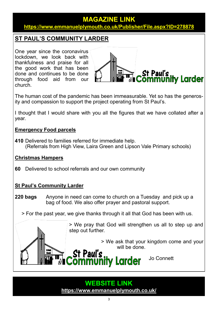#### **MAGAZINE LINK <https://www.emmanuelplymouth.co.uk/Publisher/File.aspx?ID=278878>**

#### **ST PAUL'S COMMUNITY LARDER**

One year since the coronavirus lockdown, we look back with thankfulness and praise for all the good work that has been done and continues to be done through food aid from our church.



The human cost of the pandemic has been immeasurable. Yet so has the generosity and compassion to support the project operating from St Paul's.

I thought that I would share with you all the figures that we have collated after a year.

#### **Emergency Food parcels**

**410** Delivered to families referred for immediate help. (Referrals from High View, Laira Green and Lipson Vale Primary schools)

#### **Christmas Hampers**

**60** Delivered to school referrals and our own community

#### **St Paul's Community Larder**

- **220 bags** Anyone in need can come to church on a Tuesday and pick up a bag of food. We also offer prayer and pastoral support.
	- > For the past year, we give thanks through it all that God has been with us.

> We pray that God will strengthen us all to step up and step out further.

> > We ask that your kingdom come and your will be done.

> > Jo Connett

# **WEBSITE LINK <https://www.emmanuelplymouth.co.uk/>**

**nmunity Larder**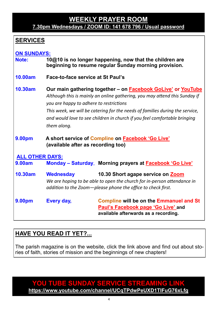#### **[WEEKLY PRAYER ROOM](https://us04web.zoom.us/j/141678796?pwd=VERURTVtcWQzbkZvdXFRMnJpKzg3dz09) [7.30pm Wednesdays / ZOOM ID: 141 678 796 / Usual password](https://us04web.zoom.us/j/141678796?pwd=VERURTVtcWQzbkZvdXFRMnJpKzg3dz09)**

# **SERVICES**

# **ON SUNDAYS:**

- **Note: 10@10 is no longer happening, now that the children are beginning to resume regular Sunday morning provision.**
- **10.00am Face-to-face service at St Paul's**
- **10.30am Our main gathering together – on [Facebook GoLive](https://www.facebook.com/emmanuelwithstpauls/)' or [YouTube](https://www.youtube.com/channel/UCqTPdwPeUXD1TIFuG76xLfg)** *Although this is mainly an online gathering, you may attend this Sunday if you are happy to adhere to restrictions This week, we will be catering for the needs of families during the service, and would love to see children in church if you feel comfortable bringing them along.*
- **9.00pm A short service of [Compline](https://www.emmanuelplymouth.co.uk/Publisher/File.aspx?ID=259665) on [Facebook](https://www.facebook.com/emmanuelwithstpauls/) 'Go Live' (available after as recording too)**

#### **ALL OTHER DAYS:**

**9.00am Monday – Saturday**, **Morning prayers at [Facebook](https://www.facebook.com/emmanuelwithstpauls/) 'Go Live'**

**10.30am Wednesday 10.30 Short agape service on [Zoom](https://us02web.zoom.us/j/87669471222?pwd=amNNVGJ4QmtIeFhlTlFmRTRTV29ndz09)** *We are hoping to be able to open the church for in-person attendance in addition to the Zoom—please phone the office to check first.*

**9.00pm Every day, [Compline](https://www.emmanuelplymouth.co.uk/Publisher/File.aspx?ID=259665) will be on the [Emmanuel and St](https://www.facebook.com/emmanuelwithstpauls/)  Paul'[s Facebook page](https://www.facebook.com/emmanuelwithstpauls/) 'Go Live' and available afterwards as a recording.**

# **HAVE YOU READ IT YET?...**

The parish magazine is on the website, click the link above and find out about stories of faith, stories of mission and the beginnings of new chapters!

**YOU TUBE SUNDAY SERVICE STREAMING LINK <https://www.youtube.com/channel/UCqTPdwPeUXD1TIFuG76xLfg>**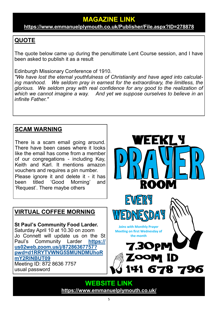**<https://www.emmanuelplymouth.co.uk/Publisher/File.aspx?ID=278878>**

# **QUOTE**

The quote below came up during the penultimate Lent Course session, and I have been asked to publish it as a result

Edinburgh Missionary Conference of 1910.

*"We have lost the eternal youthfulness of Christianity and have aged into calculating manhood. We seldom pray in earnest for the extraordinary, the limitless, the glorious. We seldom pray with real confidence for any good to the realization of which we cannot imagine a way. And yet we suppose ourselves to believe in an infinite Father."*

# **SCAM WARNING**

There is a scam email going around. There have been cases where it looks like the email has come from a member of our congregations - including Kay, Keith and Karl. It mentions amazon vouchers and requires a pin number. Please ignore it and delete it - it has been titled 'Good Morning' and 'Request'. There maybe others

# **VIRTUAL COFFEE MORNING**

**St Paul's Community Food Larder.**  Saturday April 10 at 10.30 on zoom Jo Connett will update us on the St Paul's Community Larder **[https://](https://us02web.zoom.us/j/87286367757?pwd=d1RRYTVWNG5SMUNDMUhoRmY2RlNBUT09) [us02web.zoom.us/j/87286367757?](https://us02web.zoom.us/j/87286367757?pwd=d1RRYTVWNG5SMUNDMUhoRmY2RlNBUT09) [pwd=d1RRYTVWNG5SMUNDMUhoR](https://us02web.zoom.us/j/87286367757?pwd=d1RRYTVWNG5SMUNDMUhoRmY2RlNBUT09) [mY2RlNBUT09](https://us02web.zoom.us/j/87286367757?pwd=d1RRYTVWNG5SMUNDMUhoRmY2RlNBUT09)** Meeting ID: 872 8636 7757 usual password



WEEKLY

**WEBSITE LINK <https://www.emmanuelplymouth.co.uk/>**